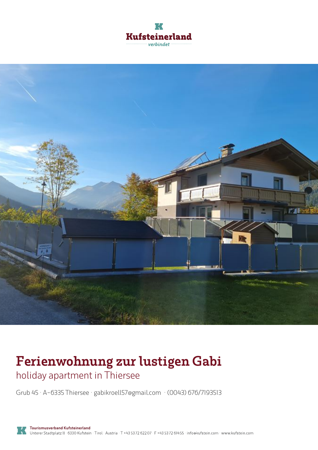



# **Ferienwohnung zur lustigen Gabi**

holiday apartment in Thiersee

Grub 45 · A-6335 Thiersee · **gabikroell57@gmail.com** · **(0043) 676/7193513**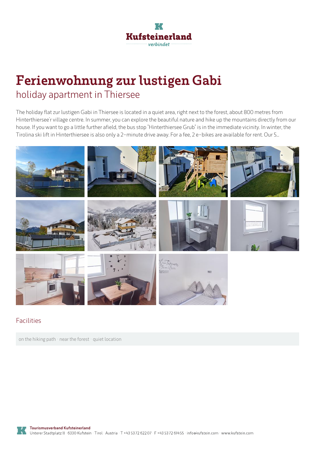

## **Ferienwohnung zur lustigen Gabi** holiday apartment in Thiersee

The holiday flat zur lustigen Gabi in Thiersee is located in a quiet area, right next to the forest, about 800 metres from Hinterthiersee'r village centre. In summer, you can explore the beautiful nature and hike up the mountains directly from our house. If you want to go <sup>a</sup> little further afield, the bus stop "Hinterthiersee Grub" is in the immediate vicinity. In winter, the Tirolina ski lift in Hinterthiersee is also only a 2-minute drive away. For a fee, 2 e-bikes are available for rent. Our 5...



#### Facilities

on the hiking path · near the forest · quiet location